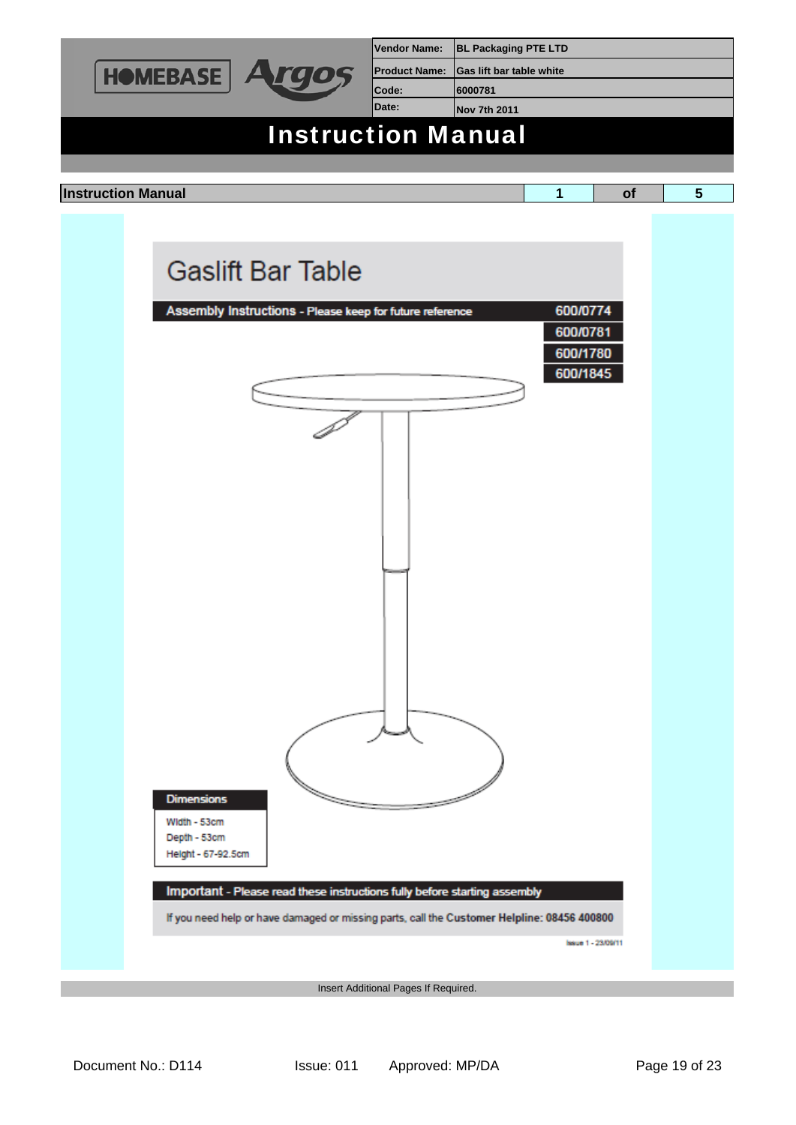

Insert Additional Pages If Required.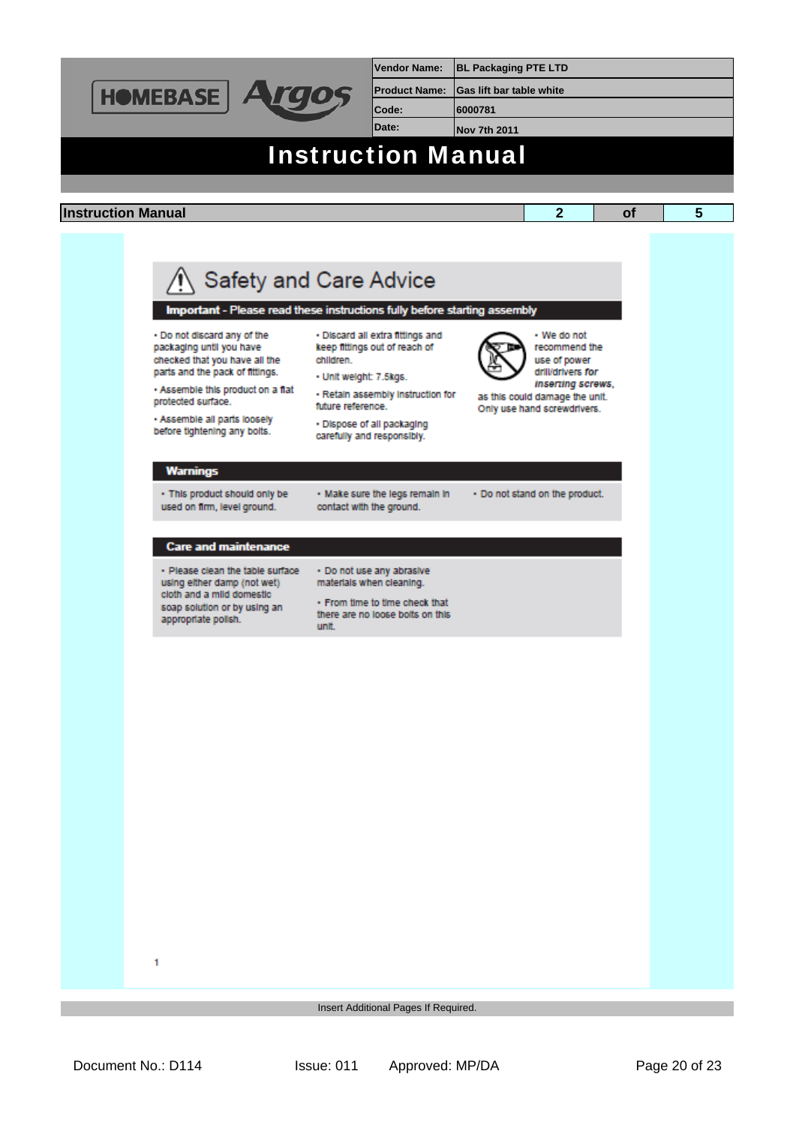

**Vendor Name: BL Packaging PTE LTD Product Name: Gas lift bar table white**

**Code: 6000781**

**Date: Nov 7th 2011**

## Instruction Manual

## **Instruction Manual 2 of 5**

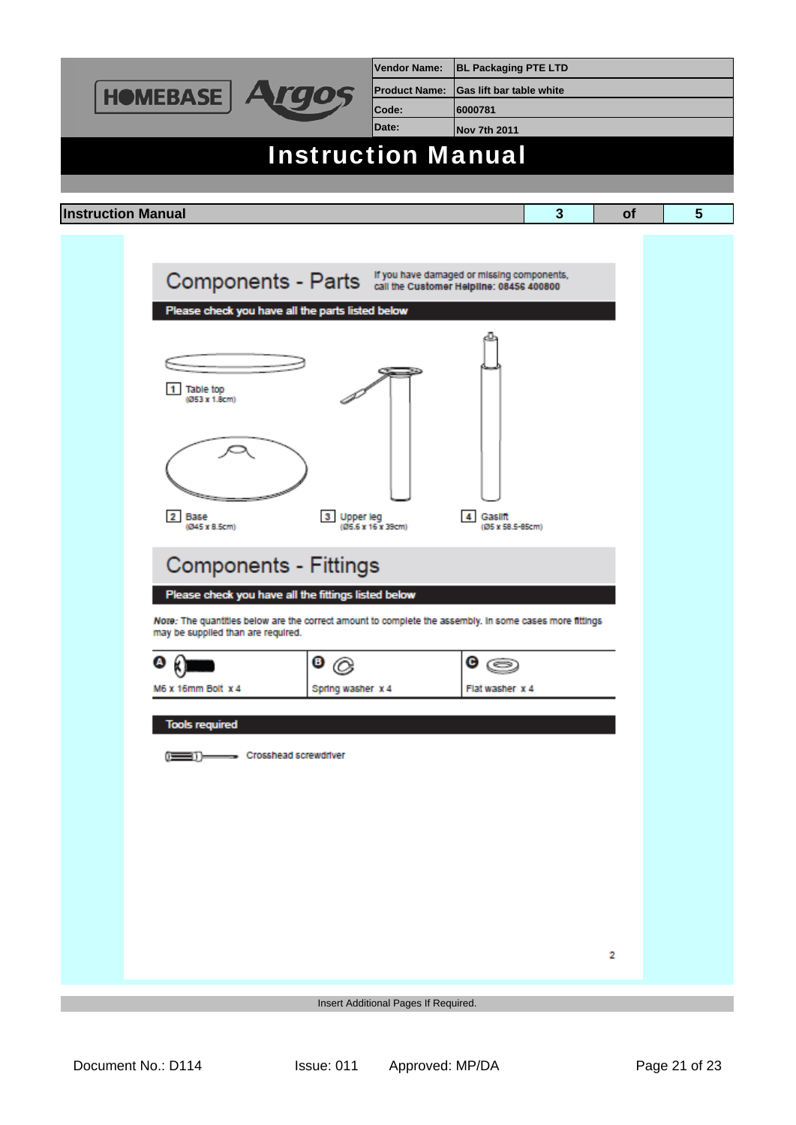| <b>HOMEBASE</b>                                                                                                                               | <b>Vendor Name:</b>  | <b>BL Packaging PTE LTD</b>                |           |   |
|-----------------------------------------------------------------------------------------------------------------------------------------------|----------------------|--------------------------------------------|-----------|---|
|                                                                                                                                               | <b>Product Name:</b> | <b>Gas lift bar table white</b>            |           |   |
|                                                                                                                                               | Code:                | 6000781                                    |           |   |
|                                                                                                                                               | Date:                | <b>Nov 7th 2011</b>                        |           |   |
| <b>Instruction Manual</b>                                                                                                                     |                      |                                            |           |   |
|                                                                                                                                               |                      |                                            |           |   |
|                                                                                                                                               |                      |                                            |           |   |
| <b>Instruction Manual</b>                                                                                                                     |                      | $\mathbf{3}$                               | <b>of</b> | 5 |
|                                                                                                                                               |                      |                                            |           |   |
|                                                                                                                                               |                      | If you have damaged or missing components, |           |   |
| Components - Parts "you have damaged or missing component                                                                                     |                      |                                            |           |   |
| Please check you have all the parts listed below                                                                                              |                      |                                            |           |   |
|                                                                                                                                               |                      |                                            |           |   |
|                                                                                                                                               |                      |                                            |           |   |
|                                                                                                                                               |                      |                                            |           |   |
| Table top<br>(Ø53 x 1.8cm)                                                                                                                    |                      |                                            |           |   |
|                                                                                                                                               |                      |                                            |           |   |
|                                                                                                                                               |                      |                                            |           |   |
|                                                                                                                                               |                      |                                            |           |   |
|                                                                                                                                               |                      |                                            |           |   |
| 2 Base<br>$3^{\circ}$<br><b>Upper leg</b>                                                                                                     |                      | Gaslift                                    |           |   |
| (@45 x 8.5cm)                                                                                                                                 | (Ø5.6 x 16 x 39cm)   | (Ø5 x 58.5-85cm)                           |           |   |
|                                                                                                                                               |                      |                                            |           |   |
| <b>Components - Fittings</b>                                                                                                                  |                      |                                            |           |   |
| Please check you have all the fittings listed below                                                                                           |                      |                                            |           |   |
| Note: The quantities below are the correct amount to complete the assembly. In some cases more fittings<br>may be supplied than are required. |                      |                                            |           |   |
|                                                                                                                                               |                      |                                            |           |   |
| $\bullet$ (c)<br>$^{\tiny{\textregistered}}$                                                                                                  |                      | G<br>G                                     |           |   |
| M6 x 16mm Bolt x 4<br>Spring washer x 4                                                                                                       |                      | Flat washer x 4                            |           |   |
| <b>Tools required</b>                                                                                                                         |                      |                                            |           |   |
|                                                                                                                                               |                      |                                            |           |   |
| - Crosshead screwdriver<br>≕⊪                                                                                                                 |                      |                                            |           |   |
|                                                                                                                                               |                      |                                            |           |   |
|                                                                                                                                               |                      |                                            |           |   |
|                                                                                                                                               |                      |                                            |           |   |
|                                                                                                                                               |                      |                                            |           |   |
|                                                                                                                                               |                      |                                            |           |   |
|                                                                                                                                               |                      |                                            |           |   |
|                                                                                                                                               |                      |                                            |           |   |
|                                                                                                                                               |                      |                                            |           |   |
|                                                                                                                                               |                      |                                            | 2         |   |
|                                                                                                                                               |                      |                                            |           |   |
| Insert Additional Pages If Required.                                                                                                          |                      |                                            |           |   |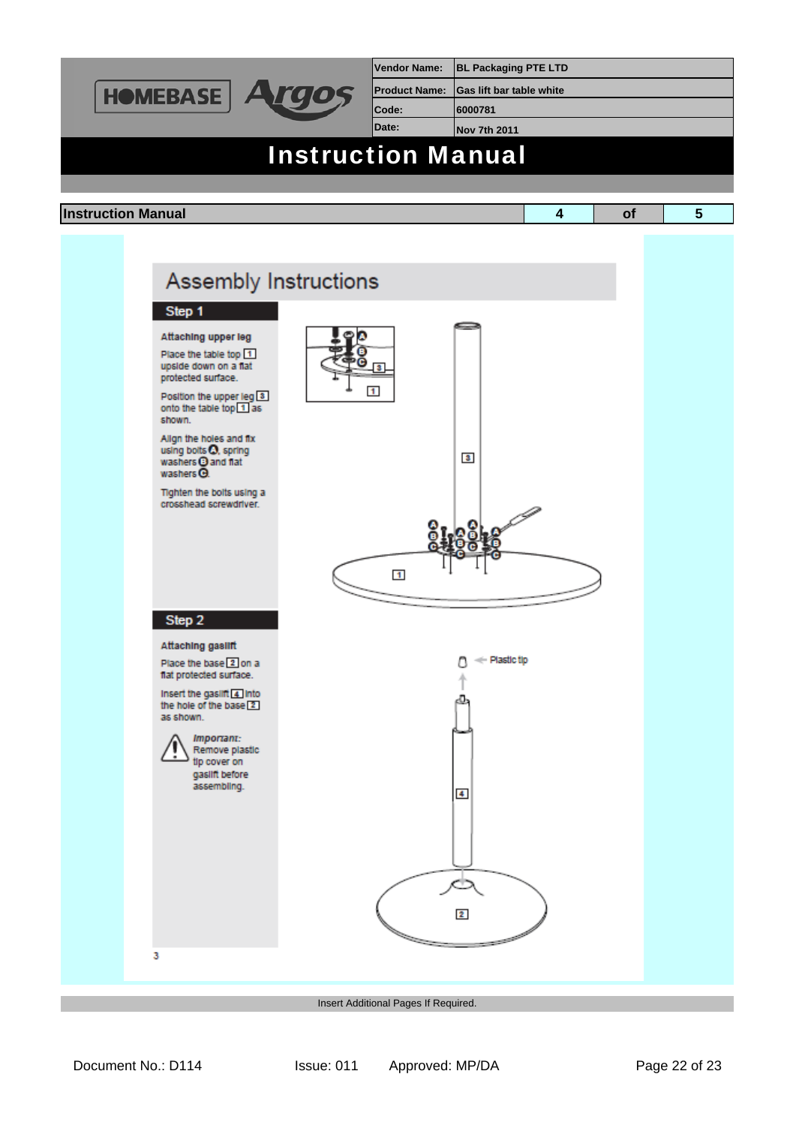

Insert Additional Pages If Required.